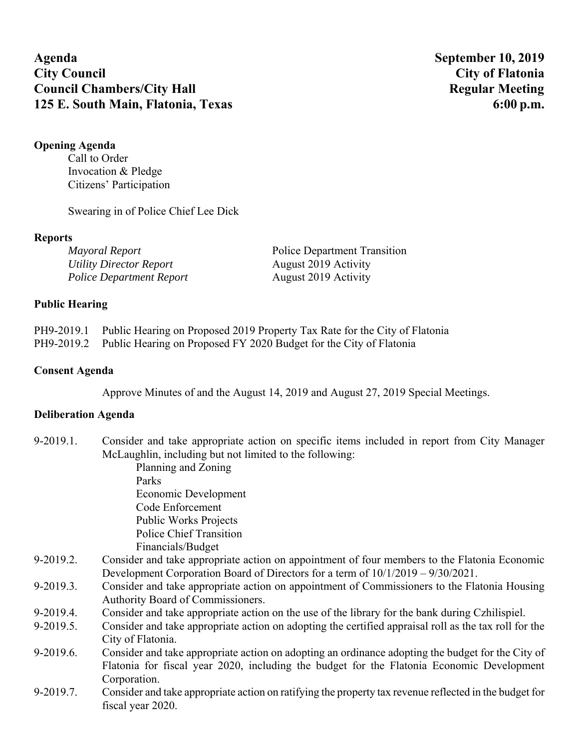**Agenda September 10, 2019 City Council City of Flatonia Council Chambers/City Hall Regular Meeting 125 E. South Main, Flatonia, Texas 6:00 p.m. 6:00 p.m.** 

# **Opening Agenda**

Call to Order Invocation & Pledge Citizens' Participation

Swearing in of Police Chief Lee Dick

## **Reports**

| Mayoral Report                  | <b>Police Department Transition</b> |
|---------------------------------|-------------------------------------|
| Utility Director Report         | August 2019 Activity                |
| <b>Police Department Report</b> | August 2019 Activity                |

## **Public Hearing**

| PH9-2019.1 Public Hearing on Proposed 2019 Property Tax Rate for the City of Flatonia |
|---------------------------------------------------------------------------------------|
| PH9-2019.2 Public Hearing on Proposed FY 2020 Budget for the City of Flatonia         |

#### **Consent Agenda**

Approve Minutes of and the August 14, 2019 and August 27, 2019 Special Meetings.

## **Deliberation Agenda**

| $9-2019.1$ . | Consider and take appropriate action on specific items included in report from City Manager            |
|--------------|--------------------------------------------------------------------------------------------------------|
|              | McLaughlin, including but not limited to the following:                                                |
|              | Planning and Zoning                                                                                    |
|              | Parks                                                                                                  |
|              | Economic Development                                                                                   |
|              | Code Enforcement                                                                                       |
|              | <b>Public Works Projects</b>                                                                           |
|              | <b>Police Chief Transition</b>                                                                         |
|              | Financials/Budget                                                                                      |
| 9-2019.2.    | Consider and take appropriate action on appointment of four members to the Flatonia Economic           |
|              | Development Corporation Board of Directors for a term of $10/1/2019 - 9/30/2021$ .                     |
| 9-2019.3.    | Consider and take appropriate action on appointment of Commissioners to the Flatonia Housing           |
|              | Authority Board of Commissioners.                                                                      |
| $9-2019.4.$  | Consider and take appropriate action on the use of the library for the bank during Czhilispiel.        |
| 9-2019.5.    | Consider and take appropriate action on adopting the certified appraisal roll as the tax roll for the  |
|              | City of Flatonia.                                                                                      |
| 9-2019.6.    | Consider and take appropriate action on adopting an ordinance adopting the budget for the City of      |
|              | Flatonia for fiscal year 2020, including the budget for the Flatonia Economic Development              |
|              | Corporation.                                                                                           |
| 9-2019.7.    | Consider and take appropriate action on ratifying the property tax revenue reflected in the budget for |
|              | fiscal year 2020.                                                                                      |